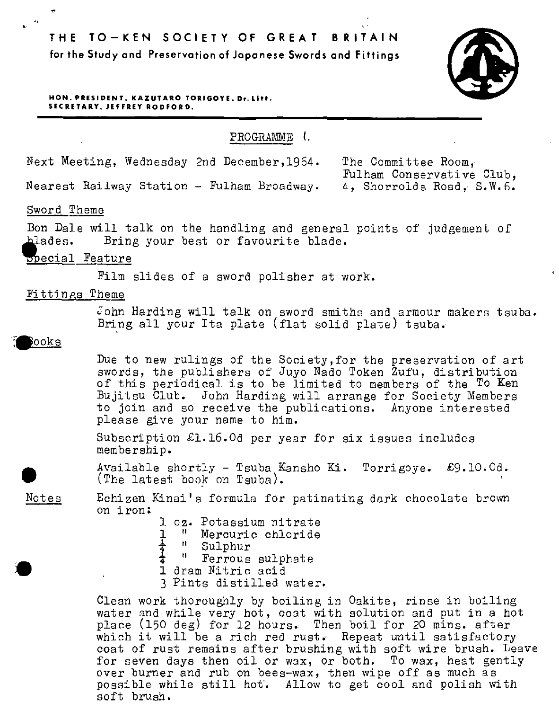**THE TO-KEN SOCIETY OF GREAT BRITAIN for the Study and Preservation of Japanese Swords and Fittings** 



**HON. PRESIDENT, KAZUTARO TORIGOYE, Dr. Lltt. SECRETARY, JEFFREY ROD FORD.** 

PROGRAMME I.

Next Meeting, Wednesday 2nd December,l964.

Nearest Railway Station - Fulham Broadway.

The Committee Room, Fulham Conservative Club, 4, Shorrolds Road, S.W.6.

# Sword Theme

•

Bon Dale will talk on the handling and general points of judgement of<br>blades. Bring your best or favourite blade. Bring your best or favourite blade.

### ppecial Feature

Film slides of a sword polisher at work.

### Fittings Theme

John Harding will talk on sword smiths and armour makers tsuba. Bring all your Ita plate (flat solid plate) tsuba.

#### ooks

•

Due to new rulings of the Society,for the preservation of art swords, the publishers of Juyo Nado Token Zufu, distribution of this periodical is to be limited to members of the To Ken Bujitsu Club. John Harding will arrange for Society Members to join and so receive the publications. Anyone interested please give your name to him.

Subscription £1.16.0d per year for six issues includes membership.

Available shortly - Tsuba Kansho Ki. Torrigoye. £9.10.0d.<br>
(The latest book on Tsuba).<br>
<u>Notes</u> Echizen Kinai's formula for patinating dark chocolate brown Available shortly - Tsuba Kansho Ki. Torrigoye.<br>(The latest book on Tsuba).

Notes on iron:

- 1 oz. Potassium nitrate<br>1 ″ Mercuric chloride 1 " Mercuric chloride<br>  $\frac{1}{4}$  " Sulphur<br>  $\frac{1}{2}$  " Ferrous sulphate
	-
	- Ferrous sulphate
- 1 dram Nitric acid
- 3 Pints distilled water.

Clean work thoroughly by boiling in Oakite, rinse in boiling water gnd while very hot, coat with solution and put in a hot place (150 deg) for 12 hours. Then boil for 20 mins. after which it will be a rich red rust. Repeat until satisfactory coat of rust remains after brushing with soft wire brush. Leave for seven days then oil or wax, or both. To wax, heat gently over burner and rub on bees-wax, then wipe off as much as possible while still hot·. Allow to get cool and polish with soft brush.